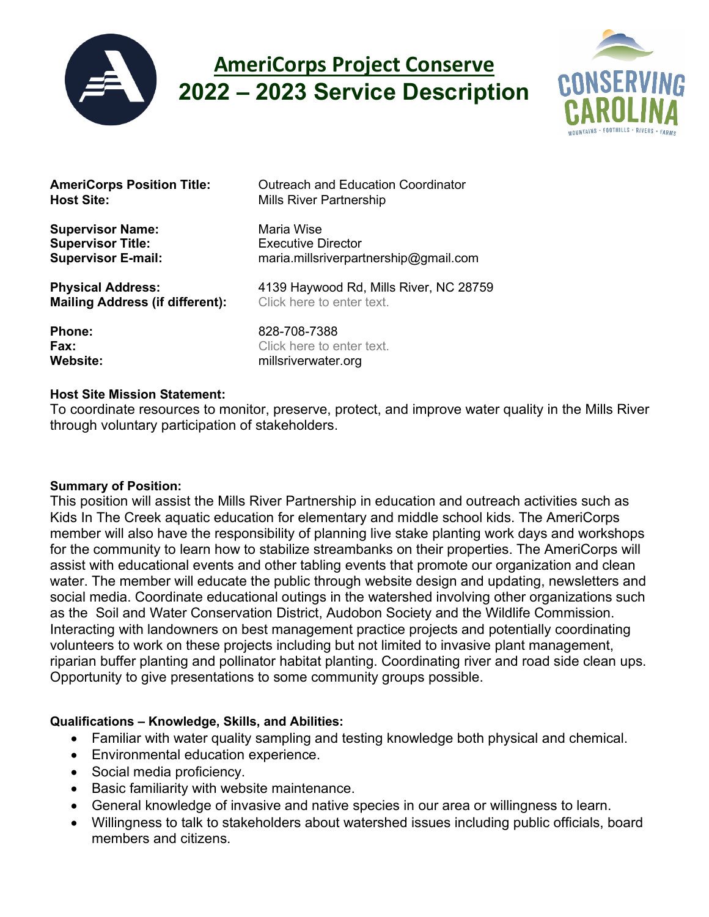

# **AmeriCorps Project Conserve 2022 – 2023 Service Description**



**Supervisor Name:** Maria Wise **Supervisor Title:** Executive Director

**Mailing Address (if different):** 

**AmeriCorps Position Title:** Outreach and Education Coordinator<br> **Host Site:** Mills River Partnership **Mills River Partnership** 

**Supervisor E-mail:** maria.millsriverpartnership@gmail.com

**Physical Address:** 4139 Haywood Rd, Mills River, NC 28759<br>**Mailing Address (if different):** Click here to enter text.

**Phone:** 828-708-7388 **Fax:** Click here to enter text. **Website:** millsriverwater.org

#### **Host Site Mission Statement:**

To coordinate resources to monitor, preserve, protect, and improve water quality in the Mills River through voluntary participation of stakeholders.

#### **Summary of Position:**

This position will assist the Mills River Partnership in education and outreach activities such as Kids In The Creek aquatic education for elementary and middle school kids. The AmeriCorps member will also have the responsibility of planning live stake planting work days and workshops for the community to learn how to stabilize streambanks on their properties. The AmeriCorps will assist with educational events and other tabling events that promote our organization and clean water. The member will educate the public through website design and updating, newsletters and social media. Coordinate educational outings in the watershed involving other organizations such as the Soil and Water Conservation District, Audobon Society and the Wildlife Commission. Interacting with landowners on best management practice projects and potentially coordinating volunteers to work on these projects including but not limited to invasive plant management, riparian buffer planting and pollinator habitat planting. Coordinating river and road side clean ups. Opportunity to give presentations to some community groups possible.

## **Qualifications – Knowledge, Skills, and Abilities:**

- Familiar with water quality sampling and testing knowledge both physical and chemical.
- Environmental education experience.
- Social media proficiency.
- Basic familiarity with website maintenance.
- General knowledge of invasive and native species in our area or willingness to learn.
- Willingness to talk to stakeholders about watershed issues including public officials, board members and citizens.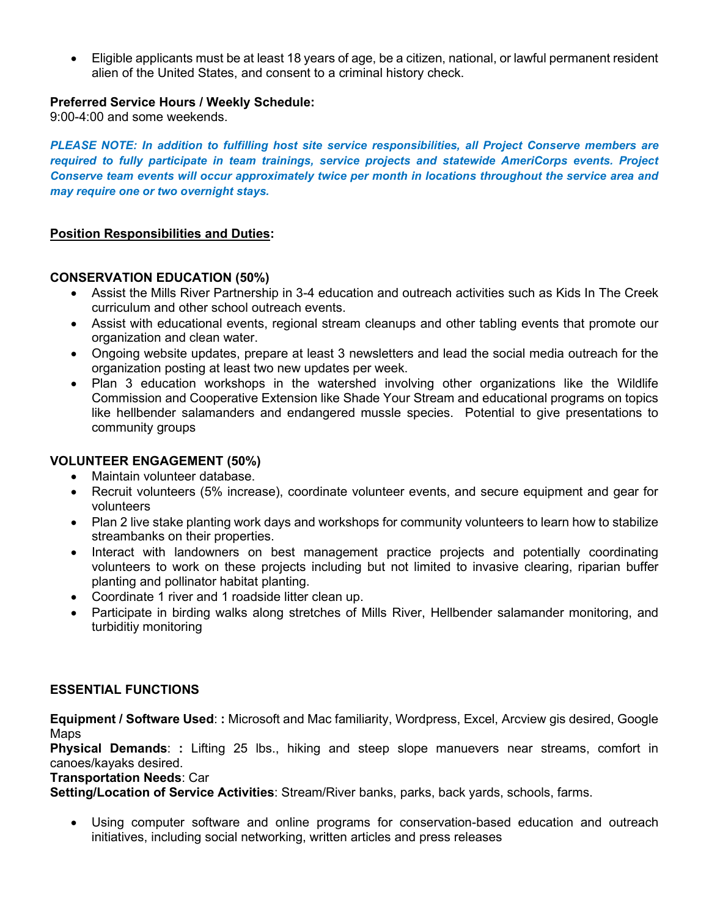• Eligible applicants must be at least 18 years of age, be a citizen, national, or lawful permanent resident alien of the United States, and consent to a criminal history check.

#### **Preferred Service Hours / Weekly Schedule:**

9:00-4:00 and some weekends.

*PLEASE NOTE: In addition to fulfilling host site service responsibilities, all Project Conserve members are required to fully participate in team trainings, service projects and statewide AmeriCorps events. Project Conserve team events will occur approximately twice per month in locations throughout the service area and may require one or two overnight stays.*

### **Position Responsibilities and Duties:**

#### **CONSERVATION EDUCATION (50%)**

- Assist the Mills River Partnership in 3-4 education and outreach activities such as Kids In The Creek curriculum and other school outreach events.
- Assist with educational events, regional stream cleanups and other tabling events that promote our organization and clean water.
- Ongoing website updates, prepare at least 3 newsletters and lead the social media outreach for the organization posting at least two new updates per week.
- Plan 3 education workshops in the watershed involving other organizations like the Wildlife Commission and Cooperative Extension like Shade Your Stream and educational programs on topics like hellbender salamanders and endangered mussle species. Potential to give presentations to community groups

#### **VOLUNTEER ENGAGEMENT (50%)**

- Maintain volunteer database.
- Recruit volunteers (5% increase), coordinate volunteer events, and secure equipment and gear for volunteers
- Plan 2 live stake planting work days and workshops for community volunteers to learn how to stabilize streambanks on their properties.
- Interact with landowners on best management practice projects and potentially coordinating volunteers to work on these projects including but not limited to invasive clearing, riparian buffer planting and pollinator habitat planting.
- Coordinate 1 river and 1 roadside litter clean up.
- Participate in birding walks along stretches of Mills River, Hellbender salamander monitoring, and turbiditiy monitoring

#### **ESSENTIAL FUNCTIONS**

**Equipment / Software Used**: **:** Microsoft and Mac familiarity, Wordpress, Excel, Arcview gis desired, Google Maps

**Physical Demands**: **:** Lifting 25 lbs., hiking and steep slope manuevers near streams, comfort in canoes/kayaks desired.

**Transportation Needs**: Car

**Setting/Location of Service Activities**: Stream/River banks, parks, back yards, schools, farms.

• Using computer software and online programs for conservation-based education and outreach initiatives, including social networking, written articles and press releases